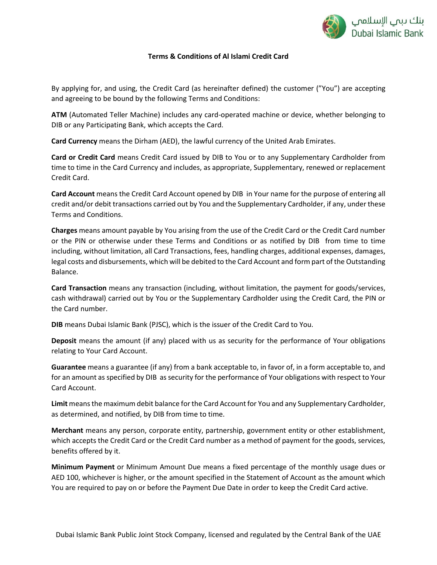

# **Terms & Conditions of Al Islami Credit Card**

By applying for, and using, the Credit Card (as hereinafter defined) the customer ("You") are accepting and agreeing to be bound by the following Terms and Conditions:

**ATM** (Automated Teller Machine) includes any card-operated machine or device, whether belonging to DIB or any Participating Bank, which accepts the Card.

**Card Currency** means the Dirham (AED), the lawful currency of the United Arab Emirates.

**Card or Credit Card** means Credit Card issued by DIB to You or to any Supplementary Cardholder from time to time in the Card Currency and includes, as appropriate, Supplementary, renewed or replacement Credit Card.

**Card Account** means the Credit Card Account opened by DIB in Your name for the purpose of entering all credit and/or debit transactions carried out by You and the Supplementary Cardholder, if any, under these Terms and Conditions.

**Charges** means amount payable by You arising from the use of the Credit Card or the Credit Card number or the PIN or otherwise under these Terms and Conditions or as notified by DIB from time to time including, without limitation, all Card Transactions, fees, handling charges, additional expenses, damages, legal costs and disbursements, which will be debited to the Card Account and form part of the Outstanding Balance.

**Card Transaction** means any transaction (including, without limitation, the payment for goods/services, cash withdrawal) carried out by You or the Supplementary Cardholder using the Credit Card, the PIN or the Card number.

**DIB** means Dubai Islamic Bank (PJSC), which is the issuer of the Credit Card to You.

**Deposit** means the amount (if any) placed with us as security for the performance of Your obligations relating to Your Card Account.

**Guarantee** means a guarantee (if any) from a bank acceptable to, in favor of, in a form acceptable to, and for an amount as specified by DIB as security for the performance of Your obligations with respect to Your Card Account.

**Limit** means the maximum debit balance for the Card Account for You and any Supplementary Cardholder, as determined, and notified, by DIB from time to time.

**Merchant** means any person, corporate entity, partnership, government entity or other establishment, which accepts the Credit Card or the Credit Card number as a method of payment for the goods, services, benefits offered by it.

**Minimum Payment** or Minimum Amount Due means a fixed percentage of the monthly usage dues or AED 100, whichever is higher, or the amount specified in the Statement of Account as the amount which You are required to pay on or before the Payment Due Date in order to keep the Credit Card active.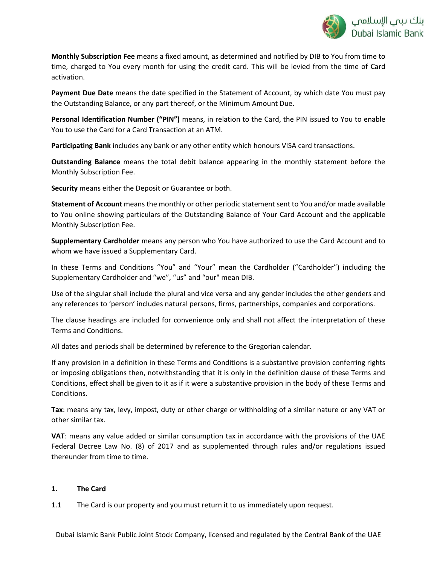

**Monthly Subscription Fee** means a fixed amount, as determined and notified by DIB to You from time to time, charged to You every month for using the credit card. This will be levied from the time of Card activation.

**Payment Due Date** means the date specified in the Statement of Account, by which date You must pay the Outstanding Balance, or any part thereof, or the Minimum Amount Due.

**Personal Identification Number ("PIN")** means, in relation to the Card, the PIN issued to You to enable You to use the Card for a Card Transaction at an ATM.

**Participating Bank** includes any bank or any other entity which honours VISA card transactions.

**Outstanding Balance** means the total debit balance appearing in the monthly statement before the Monthly Subscription Fee.

**Security** means either the Deposit or Guarantee or both.

**Statement of Account** means the monthly or other periodic statement sent to You and/or made available to You online showing particulars of the Outstanding Balance of Your Card Account and the applicable Monthly Subscription Fee.

**Supplementary Cardholder** means any person who You have authorized to use the Card Account and to whom we have issued a Supplementary Card.

In these Terms and Conditions "You" and "Your" mean the Cardholder ("Cardholder") including the Supplementary Cardholder and "we", "us" and "our" mean DIB.

Use of the singular shall include the plural and vice versa and any gender includes the other genders and any references to 'person' includes natural persons, firms, partnerships, companies and corporations.

The clause headings are included for convenience only and shall not affect the interpretation of these Terms and Conditions.

All dates and periods shall be determined by reference to the Gregorian calendar.

If any provision in a definition in these Terms and Conditions is a substantive provision conferring rights or imposing obligations then, notwithstanding that it is only in the definition clause of these Terms and Conditions, effect shall be given to it as if it were a substantive provision in the body of these Terms and Conditions.

**Tax**: means any tax, levy, impost, duty or other charge or withholding of a similar nature or any VAT or other similar tax.

**VAT**: means any value added or similar consumption tax in accordance with the provisions of the UAE Federal Decree Law No. (8) of 2017 and as supplemented through rules and/or regulations issued thereunder from time to time.

### **1. The Card**

1.1 The Card is our property and you must return it to us immediately upon request.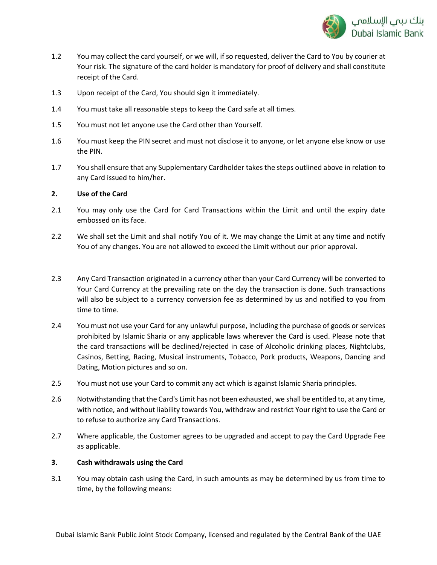

- 1.2 You may collect the card yourself, or we will, if so requested, deliver the Card to You by courier at Your risk. The signature of the card holder is mandatory for proof of delivery and shall constitute receipt of the Card.
- 1.3 Upon receipt of the Card, You should sign it immediately.
- 1.4 You must take all reasonable steps to keep the Card safe at all times.
- 1.5 You must not let anyone use the Card other than Yourself.
- 1.6 You must keep the PIN secret and must not disclose it to anyone, or let anyone else know or use the PIN.
- 1.7 You shall ensure that any Supplementary Cardholder takes the steps outlined above in relation to any Card issued to him/her.

### **2. Use of the Card**

- 2.1 You may only use the Card for Card Transactions within the Limit and until the expiry date embossed on its face.
- 2.2 We shall set the Limit and shall notify You of it. We may change the Limit at any time and notify You of any changes. You are not allowed to exceed the Limit without our prior approval.
- 2.3 Any Card Transaction originated in a currency other than your Card Currency will be converted to Your Card Currency at the prevailing rate on the day the transaction is done. Such transactions will also be subject to a currency conversion fee as determined by us and notified to you from time to time.
- 2.4 You must not use your Card for any unlawful purpose, including the purchase of goods or services prohibited by Islamic Sharia or any applicable laws wherever the Card is used. Please note that the card transactions will be declined/rejected in case of Alcoholic drinking places, Nightclubs, Casinos, Betting, Racing, Musical instruments, Tobacco, Pork products, Weapons, Dancing and Dating, Motion pictures and so on.
- 2.5 You must not use your Card to commit any act which is against Islamic Sharia principles.
- 2.6 Notwithstanding that the Card's Limit has not been exhausted, we shall be entitled to, at any time, with notice, and without liability towards You, withdraw and restrict Your right to use the Card or to refuse to authorize any Card Transactions.
- 2.7 Where applicable, the Customer agrees to be upgraded and accept to pay the Card Upgrade Fee as applicable.

### **3. Cash withdrawals using the Card**

3.1 You may obtain cash using the Card, in such amounts as may be determined by us from time to time, by the following means: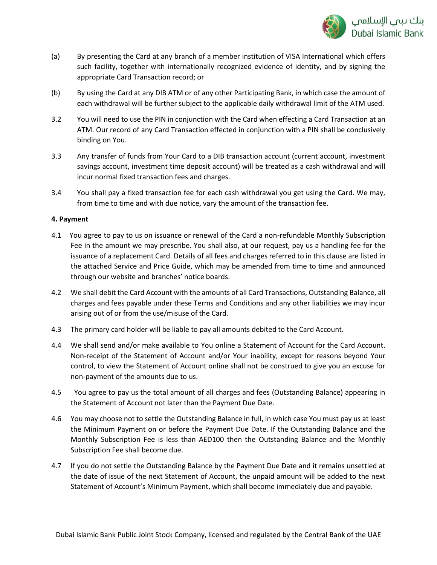

- (a) By presenting the Card at any branch of a member institution of VISA International which offers such facility, together with internationally recognized evidence of identity, and by signing the appropriate Card Transaction record; or
- (b) By using the Card at any DIB ATM or of any other Participating Bank, in which case the amount of each withdrawal will be further subject to the applicable daily withdrawal limit of the ATM used.
- 3.2 You will need to use the PIN in conjunction with the Card when effecting a Card Transaction at an ATM. Our record of any Card Transaction effected in conjunction with a PIN shall be conclusively binding on You.
- 3.3 Any transfer of funds from Your Card to a DIB transaction account (current account, investment savings account, investment time deposit account) will be treated as a cash withdrawal and will incur normal fixed transaction fees and charges.
- 3.4 You shall pay a fixed transaction fee for each cash withdrawal you get using the Card. We may, from time to time and with due notice, vary the amount of the transaction fee.

## **4. Payment**

- 4.1 You agree to pay to us on issuance or renewal of the Card a non-refundable Monthly Subscription Fee in the amount we may prescribe. You shall also, at our request, pay us a handling fee for the issuance of a replacement Card. Details of all fees and charges referred to in this clause are listed in the attached Service and Price Guide, which may be amended from time to time and announced through our website and branches' notice boards.
- 4.2 We shall debit the Card Account with the amounts of all Card Transactions, Outstanding Balance, all charges and fees payable under these Terms and Conditions and any other liabilities we may incur arising out of or from the use/misuse of the Card.
- 4.3 The primary card holder will be liable to pay all amounts debited to the Card Account.
- 4.4 We shall send and/or make available to You online a Statement of Account for the Card Account. Non-receipt of the Statement of Account and/or Your inability, except for reasons beyond Your control, to view the Statement of Account online shall not be construed to give you an excuse for non-payment of the amounts due to us.
- 4.5 You agree to pay us the total amount of all charges and fees (Outstanding Balance) appearing in the Statement of Account not later than the Payment Due Date.
- 4.6 You may choose not to settle the Outstanding Balance in full, in which case You must pay us at least the Minimum Payment on or before the Payment Due Date. If the Outstanding Balance and the Monthly Subscription Fee is less than AED100 then the Outstanding Balance and the Monthly Subscription Fee shall become due.
- 4.7 If you do not settle the Outstanding Balance by the Payment Due Date and it remains unsettled at the date of issue of the next Statement of Account, the unpaid amount will be added to the next Statement of Account's Minimum Payment, which shall become immediately due and payable.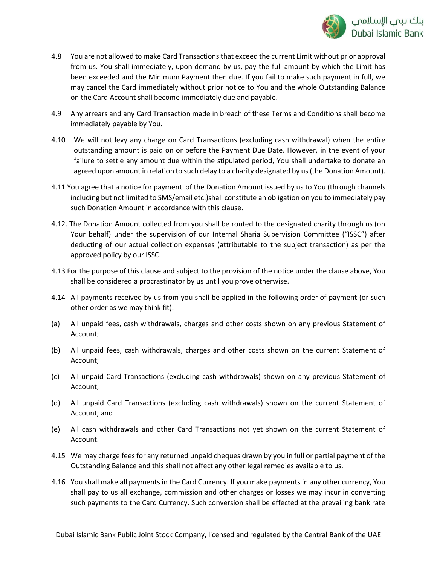

- 4.8 You are not allowed to make Card Transactions that exceed the current Limit without prior approval from us. You shall immediately, upon demand by us, pay the full amount by which the Limit has been exceeded and the Minimum Payment then due. If you fail to make such payment in full, we may cancel the Card immediately without prior notice to You and the whole Outstanding Balance on the Card Account shall become immediately due and payable.
- 4.9 Any arrears and any Card Transaction made in breach of these Terms and Conditions shall become immediately payable by You.
- 4.10 We will not levy any charge on Card Transactions (excluding cash withdrawal) when the entire outstanding amount is paid on or before the Payment Due Date. However, in the event of your failure to settle any amount due within the stipulated period, You shall undertake to donate an agreed upon amount in relation to such delay to a charity designated by us (the Donation Amount).
- 4.11 You agree that a notice for payment of the Donation Amount issued by us to You (through channels including but not limited to SMS/email etc.)shall constitute an obligation on you to immediately pay such Donation Amount in accordance with this clause.
- 4.12. The Donation Amount collected from you shall be routed to the designated charity through us (on Your behalf) under the supervision of our Internal Sharia Supervision Committee ("ISSC") after deducting of our actual collection expenses (attributable to the subject transaction) as per the approved policy by our ISSC.
- 4.13 For the purpose of this clause and subject to the provision of the notice under the clause above, You shall be considered a procrastinator by us until you prove otherwise.
- 4.14 All payments received by us from you shall be applied in the following order of payment (or such other order as we may think fit):
- (a) All unpaid fees, cash withdrawals, charges and other costs shown on any previous Statement of Account;
- (b) All unpaid fees, cash withdrawals, charges and other costs shown on the current Statement of Account;
- (c) All unpaid Card Transactions (excluding cash withdrawals) shown on any previous Statement of Account;
- (d) All unpaid Card Transactions (excluding cash withdrawals) shown on the current Statement of Account; and
- (e) All cash withdrawals and other Card Transactions not yet shown on the current Statement of Account.
- 4.15 We may charge fees for any returned unpaid cheques drawn by you in full or partial payment of the Outstanding Balance and this shall not affect any other legal remedies available to us.
- 4.16 You shall make all payments in the Card Currency. If you make payments in any other currency, You shall pay to us all exchange, commission and other charges or losses we may incur in converting such payments to the Card Currency. Such conversion shall be effected at the prevailing bank rate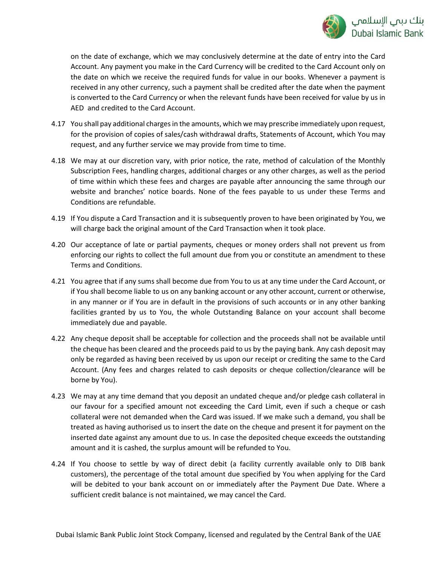

on the date of exchange, which we may conclusively determine at the date of entry into the Card Account. Any payment you make in the Card Currency will be credited to the Card Account only on the date on which we receive the required funds for value in our books. Whenever a payment is received in any other currency, such a payment shall be credited after the date when the payment is converted to the Card Currency or when the relevant funds have been received for value by us in AED and credited to the Card Account.

- 4.17 You shall pay additional charges in the amounts, which we may prescribe immediately upon request, for the provision of copies of sales/cash withdrawal drafts, Statements of Account, which You may request, and any further service we may provide from time to time.
- 4.18 We may at our discretion vary, with prior notice, the rate, method of calculation of the Monthly Subscription Fees, handling charges, additional charges or any other charges, as well as the period of time within which these fees and charges are payable after announcing the same through our website and branches' notice boards. None of the fees payable to us under these Terms and Conditions are refundable.
- 4.19 If You dispute a Card Transaction and it is subsequently proven to have been originated by You, we will charge back the original amount of the Card Transaction when it took place.
- 4.20 Our acceptance of late or partial payments, cheques or money orders shall not prevent us from enforcing our rights to collect the full amount due from you or constitute an amendment to these Terms and Conditions.
- 4.21 You agree that if any sums shall become due from You to us at any time under the Card Account, or if You shall become liable to us on any banking account or any other account, current or otherwise, in any manner or if You are in default in the provisions of such accounts or in any other banking facilities granted by us to You, the whole Outstanding Balance on your account shall become immediately due and payable.
- 4.22 Any cheque deposit shall be acceptable for collection and the proceeds shall not be available until the cheque has been cleared and the proceeds paid to us by the paying bank. Any cash deposit may only be regarded as having been received by us upon our receipt or crediting the same to the Card Account. (Any fees and charges related to cash deposits or cheque collection/clearance will be borne by You).
- 4.23 We may at any time demand that you deposit an undated cheque and/or pledge cash collateral in our favour for a specified amount not exceeding the Card Limit, even if such a cheque or cash collateral were not demanded when the Card was issued. If we make such a demand, you shall be treated as having authorised us to insert the date on the cheque and present it for payment on the inserted date against any amount due to us. In case the deposited cheque exceeds the outstanding amount and it is cashed, the surplus amount will be refunded to You.
- 4.24 If You choose to settle by way of direct debit (a facility currently available only to DIB bank customers), the percentage of the total amount due specified by You when applying for the Card will be debited to your bank account on or immediately after the Payment Due Date. Where a sufficient credit balance is not maintained, we may cancel the Card.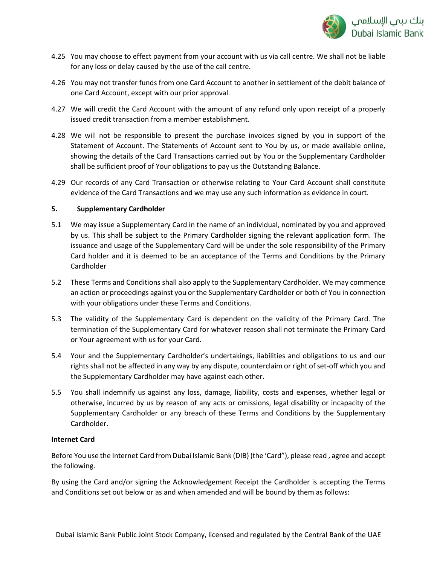

- 4.25 You may choose to effect payment from your account with us via call centre. We shall not be liable for any loss or delay caused by the use of the call centre.
- 4.26 You may not transfer funds from one Card Account to another in settlement of the debit balance of one Card Account, except with our prior approval.
- 4.27 We will credit the Card Account with the amount of any refund only upon receipt of a properly issued credit transaction from a member establishment.
- 4.28 We will not be responsible to present the purchase invoices signed by you in support of the Statement of Account. The Statements of Account sent to You by us, or made available online, showing the details of the Card Transactions carried out by You or the Supplementary Cardholder shall be sufficient proof of Your obligations to pay us the Outstanding Balance.
- 4.29 Our records of any Card Transaction or otherwise relating to Your Card Account shall constitute evidence of the Card Transactions and we may use any such information as evidence in court.

## **5. Supplementary Cardholder**

- 5.1 We may issue a Supplementary Card in the name of an individual, nominated by you and approved by us. This shall be subject to the Primary Cardholder signing the relevant application form. The issuance and usage of the Supplementary Card will be under the sole responsibility of the Primary Card holder and it is deemed to be an acceptance of the Terms and Conditions by the Primary Cardholder
- 5.2 These Terms and Conditions shall also apply to the Supplementary Cardholder. We may commence an action or proceedings against you or the Supplementary Cardholder or both of You in connection with your obligations under these Terms and Conditions.
- 5.3 The validity of the Supplementary Card is dependent on the validity of the Primary Card. The termination of the Supplementary Card for whatever reason shall not terminate the Primary Card or Your agreement with us for your Card.
- 5.4 Your and the Supplementary Cardholder's undertakings, liabilities and obligations to us and our rights shall not be affected in any way by any dispute, counterclaim or right of set-off which you and the Supplementary Cardholder may have against each other.
- 5.5 You shall indemnify us against any loss, damage, liability, costs and expenses, whether legal or otherwise, incurred by us by reason of any acts or omissions, legal disability or incapacity of the Supplementary Cardholder or any breach of these Terms and Conditions by the Supplementary Cardholder.

### **Internet Card**

Before You use the Internet Card from Dubai Islamic Bank (DIB) (the 'Card"), please read , agree and accept the following.

By using the Card and/or signing the Acknowledgement Receipt the Cardholder is accepting the Terms and Conditions set out below or as and when amended and will be bound by them as follows: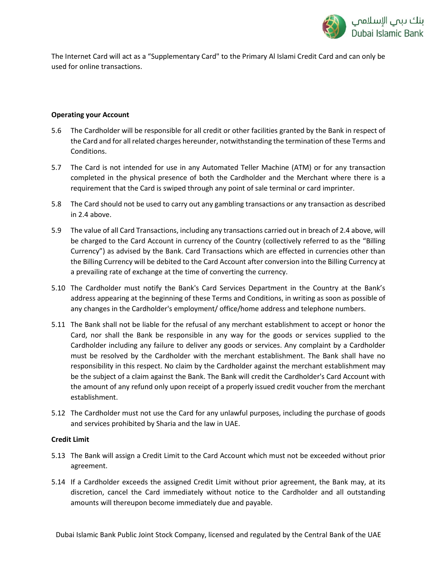

The Internet Card will act as a "Supplementary Card" to the Primary Al Islami Credit Card and can only be used for online transactions.

# **Operating your Account**

- 5.6 The Cardholder will be responsible for all credit or other facilities granted by the Bank in respect of the Card and for all related charges hereunder, notwithstanding the termination of these Terms and Conditions.
- 5.7 The Card is not intended for use in any Automated Teller Machine (ATM) or for any transaction completed in the physical presence of both the Cardholder and the Merchant where there is a requirement that the Card is swiped through any point of sale terminal or card imprinter.
- 5.8 The Card should not be used to carry out any gambling transactions or any transaction as described in 2.4 above.
- 5.9 The value of all Card Transactions, including any transactions carried out in breach of 2.4 above, will be charged to the Card Account in currency of the Country (collectively referred to as the "Billing Currency") as advised by the Bank. Card Transactions which are effected in currencies other than the Billing Currency will be debited to the Card Account after conversion into the Billing Currency at a prevailing rate of exchange at the time of converting the currency.
- 5.10 The Cardholder must notify the Bank's Card Services Department in the Country at the Bank's address appearing at the beginning of these Terms and Conditions, in writing as soon as possible of any changes in the Cardholder's employment/ office/home address and telephone numbers.
- 5.11 The Bank shall not be liable for the refusal of any merchant establishment to accept or honor the Card, nor shall the Bank be responsible in any way for the goods or services supplied to the Cardholder including any failure to deliver any goods or services. Any complaint by a Cardholder must be resolved by the Cardholder with the merchant establishment. The Bank shall have no responsibility in this respect. No claim by the Cardholder against the merchant establishment may be the subject of a claim against the Bank. The Bank will credit the Cardholder's Card Account with the amount of any refund only upon receipt of a properly issued credit voucher from the merchant establishment.
- 5.12 The Cardholder must not use the Card for any unlawful purposes, including the purchase of goods and services prohibited by Sharia and the law in UAE.

# **Credit Limit**

- 5.13 The Bank will assign a Credit Limit to the Card Account which must not be exceeded without prior agreement.
- 5.14 If a Cardholder exceeds the assigned Credit Limit without prior agreement, the Bank may, at its discretion, cancel the Card immediately without notice to the Cardholder and all outstanding amounts will thereupon become immediately due and payable.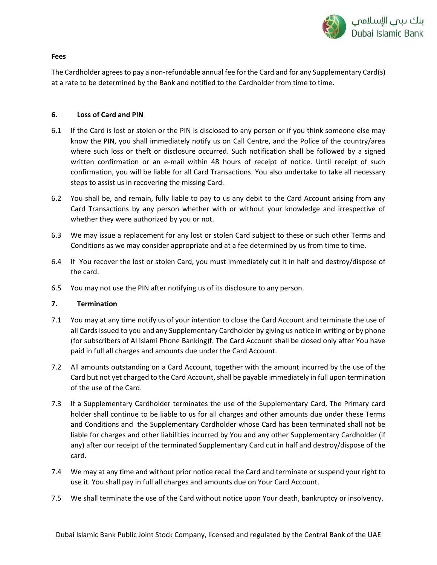

### **Fees**

The Cardholder agrees to pay a non-refundable annual fee for the Card and for any Supplementary Card(s) at a rate to be determined by the Bank and notified to the Cardholder from time to time.

# **6. Loss of Card and PIN**

- 6.1 If the Card is lost or stolen or the PIN is disclosed to any person or if you think someone else may know the PIN, you shall immediately notify us on Call Centre, and the Police of the country/area where such loss or theft or disclosure occurred. Such notification shall be followed by a signed written confirmation or an e-mail within 48 hours of receipt of notice. Until receipt of such confirmation, you will be liable for all Card Transactions. You also undertake to take all necessary steps to assist us in recovering the missing Card.
- 6.2 You shall be, and remain, fully liable to pay to us any debit to the Card Account arising from any Card Transactions by any person whether with or without your knowledge and irrespective of whether they were authorized by you or not.
- 6.3 We may issue a replacement for any lost or stolen Card subject to these or such other Terms and Conditions as we may consider appropriate and at a fee determined by us from time to time.
- 6.4 If You recover the lost or stolen Card, you must immediately cut it in half and destroy/dispose of the card.
- 6.5 You may not use the PIN after notifying us of its disclosure to any person.

# **7. Termination**

- 7.1 You may at any time notify us of your intention to close the Card Account and terminate the use of all Cards issued to you and any Supplementary Cardholder by giving us notice in writing or by phone (for subscribers of Al Islami Phone Banking)f. The Card Account shall be closed only after You have paid in full all charges and amounts due under the Card Account.
- 7.2 All amounts outstanding on a Card Account, together with the amount incurred by the use of the Card but not yet charged to the Card Account, shall be payable immediately in full upon termination of the use of the Card.
- 7.3 If a Supplementary Cardholder terminates the use of the Supplementary Card, The Primary card holder shall continue to be liable to us for all charges and other amounts due under these Terms and Conditions and the Supplementary Cardholder whose Card has been terminated shall not be liable for charges and other liabilities incurred by You and any other Supplementary Cardholder (if any) after our receipt of the terminated Supplementary Card cut in half and destroy/dispose of the card.
- 7.4 We may at any time and without prior notice recall the Card and terminate or suspend your right to use it. You shall pay in full all charges and amounts due on Your Card Account.
- 7.5 We shall terminate the use of the Card without notice upon Your death, bankruptcy or insolvency.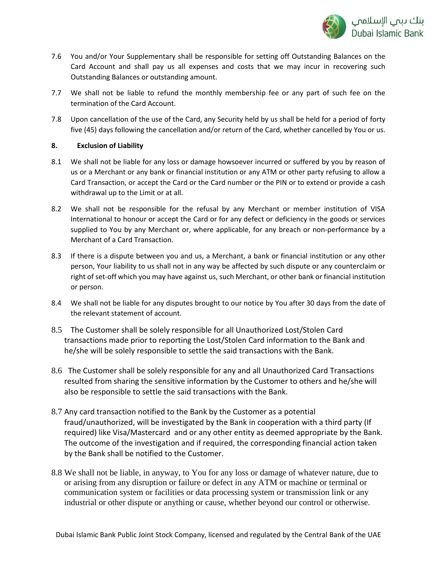

- 7.6 You and/or Your Supplementary shall be responsible for setting off Outstanding Balances on the Card Account and shall pay us all expenses and costs that we may incur in recovering such Outstanding Balances or outstanding amount.
- 7.7 We shall not be liable to refund the monthly membership fee or any part of such fee on the termination of the Card Account.
- 7.8 Upon cancellation of the use of the Card, any Security held by us shall be held for a period of forty five (45) days following the cancellation and/or return of the Card, whether cancelled by You or us.

# **8. Exclusion of Liability**

- 8.1 We shall not be liable for any loss or damage howsoever incurred or suffered by you by reason of us or a Merchant or any bank or financial institution or any ATM or other party refusing to allow a Card Transaction, or accept the Card or the Card number or the PIN or to extend or provide a cash withdrawal up to the Limit or at all.
- 8.2 We shall not be responsible for the refusal by any Merchant or member institution of VISA International to honour or accept the Card or for any defect or deficiency in the goods or services supplied to You by any Merchant or, where applicable, for any breach or non-performance by a Merchant of a Card Transaction.
- 8.3 If there is a dispute between you and us, a Merchant, a bank or financial institution or any other person, Your liability to us shall not in any way be affected by such dispute or any counterclaim or right of set-off which you may have against us, such Merchant, or other bank or financial institution or person.
- 8.4 We shall not be liable for any disputes brought to our notice by You after 30 days from the date of the relevant statement of account.
- 8.5 The Customer shall be solely responsible for all Unauthorized Lost/Stolen Card transactions made prior to reporting the Lost/Stolen Card information to the Bank and he/she will be solely responsible to settle the said transactions with the Bank.
- 8.6 The Customer shall be solely responsible for any and all Unauthorized Card Transactions resulted from sharing the sensitive information by the Customer to others and he/she will also be responsible to settle the said transactions with the Bank.
- 8.7 Any card transaction notified to the Bank by the Customer as a potential fraud/unauthorized, will be investigated by the Bank in cooperation with a third party (If required) like Visa/Mastercard and or any other entity as deemed appropriate by the Bank. The outcome of the investigation and if required, the corresponding financial action taken by the Bank shall be notified to the Customer.
- 8.8 We shall not be liable, in anyway, to You for any loss or damage of whatever nature, due to or arising from any disruption or failure or defect in any ATM or machine or terminal or communication system or facilities or data processing system or transmission link or any industrial or other dispute or anything or cause, whether beyond our control or otherwise.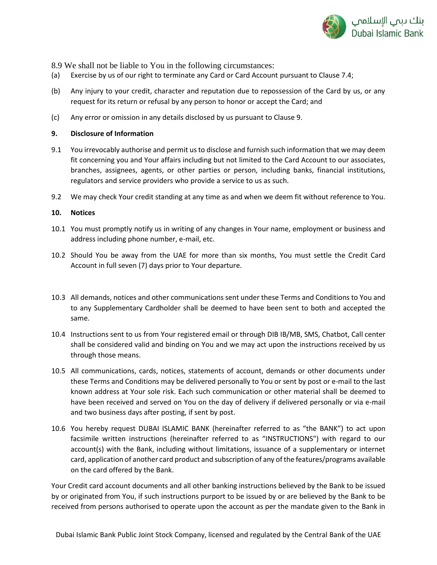

8.9 We shall not be liable to You in the following circumstances:

- (a) Exercise by us of our right to terminate any Card or Card Account pursuant to Clause 7.4;
- (b) Any injury to your credit, character and reputation due to repossession of the Card by us, or any request for its return or refusal by any person to honor or accept the Card; and
- (c) Any error or omission in any details disclosed by us pursuant to Clause 9.

# **9. Disclosure of Information**

- 9.1 You irrevocably authorise and permit us to disclose and furnish such information that we may deem fit concerning you and Your affairs including but not limited to the Card Account to our associates, branches, assignees, agents, or other parties or person, including banks, financial institutions, regulators and service providers who provide a service to us as such.
- 9.2 We may check Your credit standing at any time as and when we deem fit without reference to You.

### **10. Notices**

- 10.1 You must promptly notify us in writing of any changes in Your name, employment or business and address including phone number, e-mail, etc.
- 10.2 Should You be away from the UAE for more than six months, You must settle the Credit Card Account in full seven (7) days prior to Your departure.
- 10.3 All demands, notices and other communications sent under these Terms and Conditions to You and to any Supplementary Cardholder shall be deemed to have been sent to both and accepted the same.
- 10.4 Instructions sent to us from Your registered email or through DIB IB/MB, SMS, Chatbot, Call center shall be considered valid and binding on You and we may act upon the instructions received by us through those means.
- 10.5 All communications, cards, notices, statements of account, demands or other documents under these Terms and Conditions may be delivered personally to You or sent by post or e-mail to the last known address at Your sole risk. Each such communication or other material shall be deemed to have been received and served on You on the day of delivery if delivered personally or via e-mail and two business days after posting, if sent by post.
- 10.6 You hereby request DUBAI ISLAMIC BANK (hereinafter referred to as "the BANK") to act upon facsimile written instructions (hereinafter referred to as "INSTRUCTIONS") with regard to our account(s) with the Bank, including without limitations, issuance of a supplementary or internet card, application of another card product and subscription of any of the features/programs available on the card offered by the Bank.

Your Credit card account documents and all other banking instructions believed by the Bank to be issued by or originated from You, if such instructions purport to be issued by or are believed by the Bank to be received from persons authorised to operate upon the account as per the mandate given to the Bank in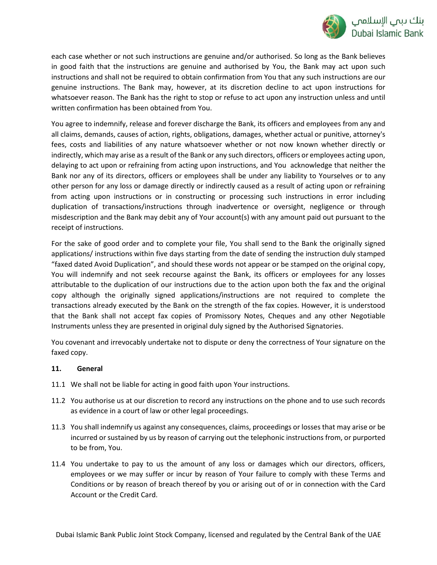

each case whether or not such instructions are genuine and/or authorised. So long as the Bank believes in good faith that the instructions are genuine and authorised by You, the Bank may act upon such instructions and shall not be required to obtain confirmation from You that any such instructions are our genuine instructions. The Bank may, however, at its discretion decline to act upon instructions for whatsoever reason. The Bank has the right to stop or refuse to act upon any instruction unless and until written confirmation has been obtained from You.

You agree to indemnify, release and forever discharge the Bank, its officers and employees from any and all claims, demands, causes of action, rights, obligations, damages, whether actual or punitive, attorney's fees, costs and liabilities of any nature whatsoever whether or not now known whether directly or indirectly, which may arise as a result of the Bank or any such directors, officers or employees acting upon, delaying to act upon or refraining from acting upon instructions, and You acknowledge that neither the Bank nor any of its directors, officers or employees shall be under any liability to Yourselves or to any other person for any loss or damage directly or indirectly caused as a result of acting upon or refraining from acting upon instructions or in constructing or processing such instructions in error including duplication of transactions/instructions through inadvertence or oversight, negligence or through misdescription and the Bank may debit any of Your account(s) with any amount paid out pursuant to the receipt of instructions.

For the sake of good order and to complete your file, You shall send to the Bank the originally signed applications/ instructions within five days starting from the date of sending the instruction duly stamped "faxed dated Avoid Duplication", and should these words not appear or be stamped on the original copy, You will indemnify and not seek recourse against the Bank, its officers or employees for any losses attributable to the duplication of our instructions due to the action upon both the fax and the original copy although the originally signed applications/instructions are not required to complete the transactions already executed by the Bank on the strength of the fax copies. However, it is understood that the Bank shall not accept fax copies of Promissory Notes, Cheques and any other Negotiable Instruments unless they are presented in original duly signed by the Authorised Signatories.

You covenant and irrevocably undertake not to dispute or deny the correctness of Your signature on the faxed copy.

# **11. General**

- 11.1 We shall not be liable for acting in good faith upon Your instructions.
- 11.2 You authorise us at our discretion to record any instructions on the phone and to use such records as evidence in a court of law or other legal proceedings.
- 11.3 You shall indemnify us against any consequences, claims, proceedings or losses that may arise or be incurred or sustained by us by reason of carrying out the telephonic instructions from, or purported to be from, You.
- 11.4 You undertake to pay to us the amount of any loss or damages which our directors, officers, employees or we may suffer or incur by reason of Your failure to comply with these Terms and Conditions or by reason of breach thereof by you or arising out of or in connection with the Card Account or the Credit Card.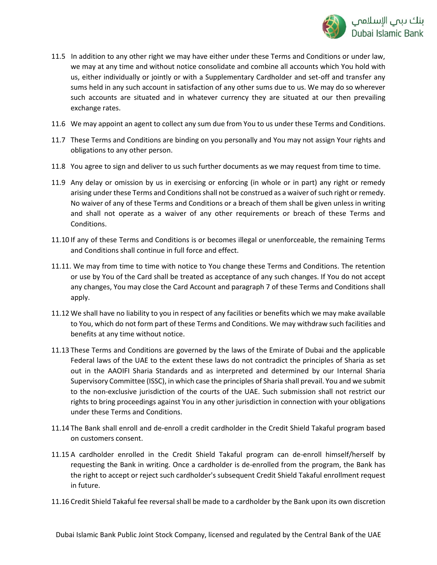

- 11.5 In addition to any other right we may have either under these Terms and Conditions or under law, we may at any time and without notice consolidate and combine all accounts which You hold with us, either individually or jointly or with a Supplementary Cardholder and set-off and transfer any sums held in any such account in satisfaction of any other sums due to us. We may do so wherever such accounts are situated and in whatever currency they are situated at our then prevailing exchange rates.
- 11.6 We may appoint an agent to collect any sum due from You to us under these Terms and Conditions.
- 11.7 These Terms and Conditions are binding on you personally and You may not assign Your rights and obligations to any other person.
- 11.8 You agree to sign and deliver to us such further documents as we may request from time to time.
- 11.9 Any delay or omission by us in exercising or enforcing (in whole or in part) any right or remedy arising under these Terms and Conditions shall not be construed as a waiver of such right or remedy. No waiver of any of these Terms and Conditions or a breach of them shall be given unless in writing and shall not operate as a waiver of any other requirements or breach of these Terms and Conditions.
- 11.10 If any of these Terms and Conditions is or becomes illegal or unenforceable, the remaining Terms and Conditions shall continue in full force and effect.
- 11.11. We may from time to time with notice to You change these Terms and Conditions. The retention or use by You of the Card shall be treated as acceptance of any such changes. If You do not accept any changes, You may close the Card Account and paragraph 7 of these Terms and Conditions shall apply.
- 11.12 We shall have no liability to you in respect of any facilities or benefits which we may make available to You, which do not form part of these Terms and Conditions. We may withdraw such facilities and benefits at any time without notice.
- 11.13 These Terms and Conditions are governed by the laws of the Emirate of Dubai and the applicable Federal laws of the UAE to the extent these laws do not contradict the principles of Sharia as set out in the AAOIFI Sharia Standards and as interpreted and determined by our Internal Sharia Supervisory Committee (ISSC), in which case the principles of Sharia shall prevail. You and we submit to the non-exclusive jurisdiction of the courts of the UAE. Such submission shall not restrict our rights to bring proceedings against You in any other jurisdiction in connection with your obligations under these Terms and Conditions.
- 11.14 The Bank shall enroll and de-enroll a credit cardholder in the Credit Shield Takaful program based on customers consent.
- 11.15 A cardholder enrolled in the Credit Shield Takaful program can de-enroll himself/herself by requesting the Bank in writing. Once a cardholder is de-enrolled from the program, the Bank has the right to accept or reject such cardholder's subsequent Credit Shield Takaful enrollment request in future.
- 11.16 Credit Shield Takaful fee reversal shall be made to a cardholder by the Bank upon its own discretion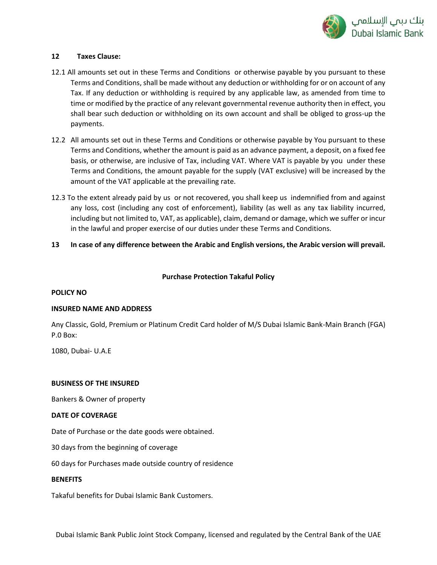

### **12 Taxes Clause:**

- 12.1 All amounts set out in these Terms and Conditions or otherwise payable by you pursuant to these Terms and Conditions, shall be made without any deduction or withholding for or on account of any Tax. If any deduction or withholding is required by any applicable law, as amended from time to time or modified by the practice of any relevant governmental revenue authority then in effect, you shall bear such deduction or withholding on its own account and shall be obliged to gross-up the payments.
- 12.2 All amounts set out in these Terms and Conditions or otherwise payable by You pursuant to these Terms and Conditions, whether the amount is paid as an advance payment, a deposit, on a fixed fee basis, or otherwise, are inclusive of Tax, including VAT. Where VAT is payable by you under these Terms and Conditions, the amount payable for the supply (VAT exclusive) will be increased by the amount of the VAT applicable at the prevailing rate.
- 12.3 To the extent already paid by us or not recovered, you shall keep us indemnified from and against any loss, cost (including any cost of enforcement), liability (as well as any tax liability incurred, including but not limited to, VAT, as applicable), claim, demand or damage, which we suffer or incur in the lawful and proper exercise of our duties under these Terms and Conditions.
- **13 In case of any difference between the Arabic and English versions, the Arabic version will prevail.**

# **Purchase Protection Takaful Policy**

### **POLICY NO**

### **INSURED NAME AND ADDRESS**

Any Classic, Gold, Premium or Platinum Credit Card holder of M/S Dubai Islamic Bank-Main Branch (FGA) P.0 Box:

1080, Dubai- U.A.E

### **BUSINESS OF THE INSURED**

Bankers & Owner of property

### **DATE OF COVERAGE**

Date of Purchase or the date goods were obtained.

30 days from the beginning of coverage

60 days for Purchases made outside country of residence

### **BENEFITS**

Takaful benefits for Dubai Islamic Bank Customers.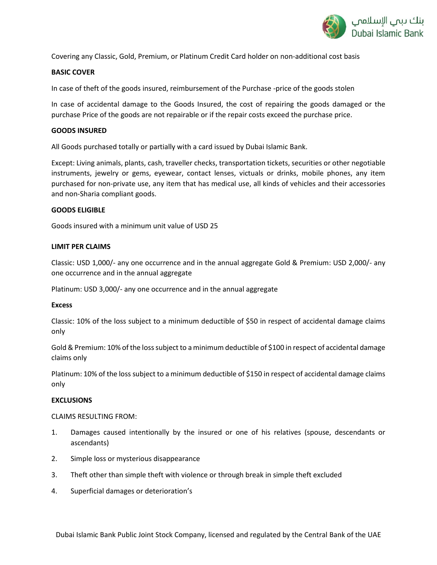

Covering any Classic, Gold, Premium, or Platinum Credit Card holder on non-additional cost basis

### **BASIC COVER**

In case of theft of the goods insured, reimbursement of the Purchase -price of the goods stolen

In case of accidental damage to the Goods Insured, the cost of repairing the goods damaged or the purchase Price of the goods are not repairable or if the repair costs exceed the purchase price.

#### **GOODS INSURED**

All Goods purchased totally or partially with a card issued by Dubai Islamic Bank.

Except: Living animals, plants, cash, traveller checks, transportation tickets, securities or other negotiable instruments, jewelry or gems, eyewear, contact lenses, victuals or drinks, mobile phones, any item purchased for non-private use, any item that has medical use, all kinds of vehicles and their accessories and non-Sharia compliant goods.

#### **GOODS ELIGIBLE**

Goods insured with a minimum unit value of USD 25

#### **LIMIT PER CLAIMS**

Classic: USD 1,000/- any one occurrence and in the annual aggregate Gold & Premium: USD 2,000/- any one occurrence and in the annual aggregate

Platinum: USD 3,000/- any one occurrence and in the annual aggregate

#### **Excess**

Classic: 10% of the loss subject to a minimum deductible of \$50 in respect of accidental damage claims only

Gold & Premium: 10% of the loss subject to a minimum deductible of \$100 in respect of accidental damage claims only

Platinum: 10% of the loss subject to a minimum deductible of \$150 in respect of accidental damage claims only

#### **EXCLUSIONS**

CLAIMS RESULTING FROM:

- 1. Damages caused intentionally by the insured or one of his relatives (spouse, descendants or ascendants)
- 2. Simple loss or mysterious disappearance
- 3. Theft other than simple theft with violence or through break in simple theft excluded
- 4. Superficial damages or deterioration's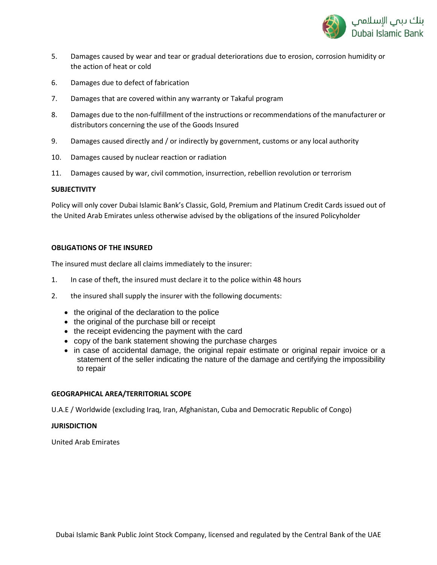

- 5. Damages caused by wear and tear or gradual deteriorations due to erosion, corrosion humidity or the action of heat or cold
- 6. Damages due to defect of fabrication
- 7. Damages that are covered within any warranty or Takaful program
- 8. Damages due to the non-fulfillment of the instructions or recommendations of the manufacturer or distributors concerning the use of the Goods Insured
- 9. Damages caused directly and / or indirectly by government, customs or any local authority
- 10. Damages caused by nuclear reaction or radiation
- 11. Damages caused by war, civil commotion, insurrection, rebellion revolution or terrorism

### **SUBJECTIVITY**

Policy will only cover Dubai Islamic Bank's Classic, Gold, Premium and Platinum Credit Cards issued out of the United Arab Emirates unless otherwise advised by the obligations of the insured Policyholder

### **OBLIGATIONS OF THE INSURED**

The insured must declare all claims immediately to the insurer:

- 1. In case of theft, the insured must declare it to the police within 48 hours
- 2. the insured shall supply the insurer with the following documents:
	- the original of the declaration to the police
	- the original of the purchase bill or receipt
	- the receipt evidencing the payment with the card
	- copy of the bank statement showing the purchase charges
	- in case of accidental damage, the original repair estimate or original repair invoice or a statement of the seller indicating the nature of the damage and certifying the impossibility to repair

### **GEOGRAPHICAL AREA/TERRITORIAL SCOPE**

U.A.E / Worldwide (excluding Iraq, Iran, Afghanistan, Cuba and Democratic Republic of Congo)

### **JURISDICTION**

United Arab Emirates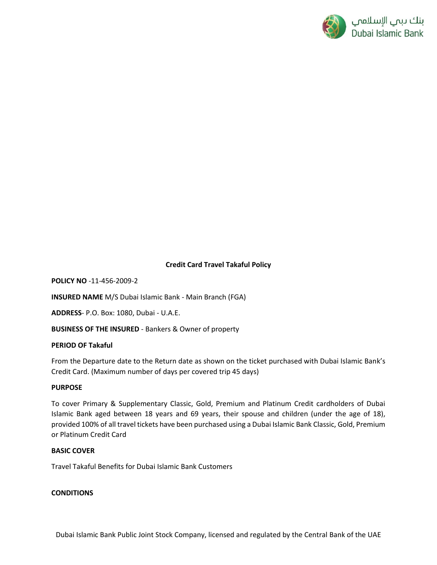

# **Credit Card Travel Takaful Policy**

**POLICY NO** -11-456-2009-2

**INSURED NAME** M/S Dubai Islamic Bank - Main Branch (FGA)

**ADDRESS**- P.O. Box: 1080, Dubai - U.A.E.

**BUSINESS OF THE INSURED** - Bankers & Owner of property

### **PERIOD OF Takaful**

From the Departure date to the Return date as shown on the ticket purchased with Dubai Islamic Bank's Credit Card. (Maximum number of days per covered trip 45 days)

# **PURPOSE**

To cover Primary & Supplementary Classic, Gold, Premium and Platinum Credit cardholders of Dubai Islamic Bank aged between 18 years and 69 years, their spouse and children (under the age of 18), provided 100% of all travel tickets have been purchased using a Dubai Islamic Bank Classic, Gold, Premium or Platinum Credit Card

### **BASIC COVER**

Travel Takaful Benefits for Dubai Islamic Bank Customers

# **CONDITIONS**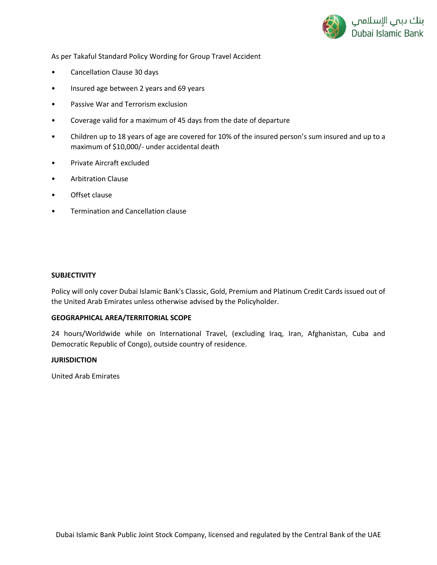

As per Takaful Standard Policy Wording for Group Travel Accident

- Cancellation Clause 30 days
- Insured age between 2 years and 69 years
- Passive War and Terrorism exclusion
- Coverage valid for a maximum of 45 days from the date of departure
- Children up to 18 years of age are covered for 10% of the insured person's sum insured and up to a maximum of \$10,000/- under accidental death
- Private Aircraft excluded
- Arbitration Clause
- Offset clause
- Termination and Cancellation clause

#### **SUBJECTIVITY**

Policy will only cover Dubai Islamic Bank's Classic, Gold, Premium and Platinum Credit Cards issued out of the United Arab Emirates unless otherwise advised by the Policyholder.

# **GEOGRAPHICAL AREA/TERRITORIAL SCOPE**

24 hours/Worldwide while on International Travel, (excluding Iraq, Iran, Afghanistan, Cuba and Democratic Republic of Congo), outside country of residence.

#### **JURISDICTION**

United Arab Emirates